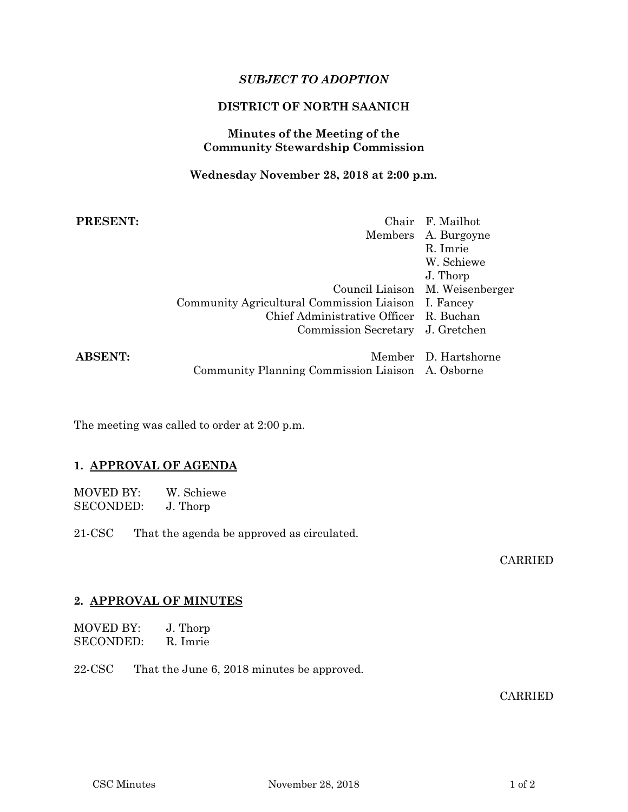# *SUBJECT TO ADOPTION*

# **DISTRICT OF NORTH SAANICH**

#### **Minutes of the Meeting of the Community Stewardship Commission**

#### **Wednesday November 28, 2018 at 2:00 p.m.**

| <b>PRESENT:</b> |                                                     | Chair F. Mailhot                |
|-----------------|-----------------------------------------------------|---------------------------------|
|                 |                                                     | Members A. Burgoyne             |
|                 |                                                     | R. Imrie                        |
|                 |                                                     | W. Schiewe                      |
|                 |                                                     | J. Thorp                        |
|                 |                                                     | Council Liaison M. Weisenberger |
|                 | Community Agricultural Commission Liaison I. Fancey |                                 |
|                 | Chief Administrative Officer R. Buchan              |                                 |
|                 | Commission Secretary J. Gretchen                    |                                 |
| <b>ABSENT:</b>  |                                                     | Member D. Hartshorne            |
|                 | Community Planning Commission Liaison A. Osborne    |                                 |

The meeting was called to order at 2:00 p.m.

### **1. APPROVAL OF AGENDA**

| <b>MOVED BY:</b> | W. Schiewe |
|------------------|------------|
| <b>SECONDED:</b> | J. Thorp   |

21-CSC That the agenda be approved as circulated.

# CARRIED

# **2. APPROVAL OF MINUTES**

| <b>MOVED BY:</b> | J. Thorp |
|------------------|----------|
| <b>SECONDED:</b> | R. Imrie |

22-CSC That the June 6, 2018 minutes be approved.

#### CARRIED